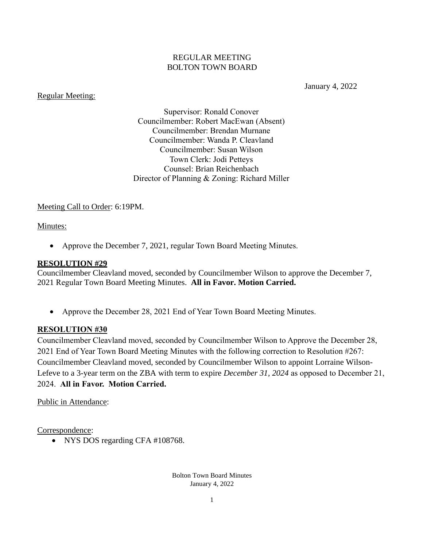#### REGULAR MEETING BOLTON TOWN BOARD

Regular Meeting:

January 4, 2022

Supervisor: Ronald Conover Councilmember: Robert MacEwan (Absent) Councilmember: Brendan Murnane Councilmember: Wanda P. Cleavland Councilmember: Susan Wilson Town Clerk: Jodi Petteys Counsel: Brian Reichenbach Director of Planning & Zoning: Richard Miller

Meeting Call to Order: 6:19PM.

### Minutes:

• Approve the December 7, 2021, regular Town Board Meeting Minutes.

#### **RESOLUTION #29**

Councilmember Cleavland moved, seconded by Councilmember Wilson to approve the December 7, 2021 Regular Town Board Meeting Minutes. **All in Favor. Motion Carried.**

• Approve the December 28, 2021 End of Year Town Board Meeting Minutes.

#### **RESOLUTION #30**

Councilmember Cleavland moved, seconded by Councilmember Wilson to Approve the December 28, 2021 End of Year Town Board Meeting Minutes with the following correction to Resolution #267: Councilmember Cleavland moved, seconded by Councilmember Wilson to appoint Lorraine Wilson-Lefeve to a 3-year term on the ZBA with term to expire *December 31, 2024* as opposed to December 21, 2024. **All in Favor. Motion Carried.**

#### Public in Attendance:

Correspondence:

• NYS DOS regarding CFA #108768.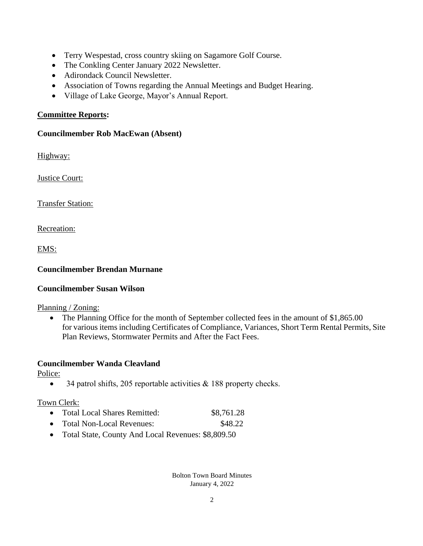- Terry Wespestad, cross country skiing on Sagamore Golf Course.
- The Conkling Center January 2022 Newsletter.
- Adirondack Council Newsletter.
- Association of Towns regarding the Annual Meetings and Budget Hearing.
- Village of Lake George, Mayor's Annual Report.

### **Committee Reports:**

### **Councilmember Rob MacEwan (Absent)**

Highway:

Justice Court:

Transfer Station:

Recreation:

EMS:

# **Councilmember Brendan Murnane**

## **Councilmember Susan Wilson**

## Planning / Zoning:

• The Planning Office for the month of September collected fees in the amount of \$1,865.00 for various items including Certificates of Compliance, Variances, Short Term Rental Permits, Site Plan Reviews, Stormwater Permits and After the Fact Fees.

## **Councilmember Wanda Cleavland**

Police:

• 34 patrol shifts, 205 reportable activities & 188 property checks.

## Town Clerk:

- Total Local Shares Remitted:  $$8,761.28$
- Total Non-Local Revenues: \$48.22
- Total State, County And Local Revenues: \$8,809.50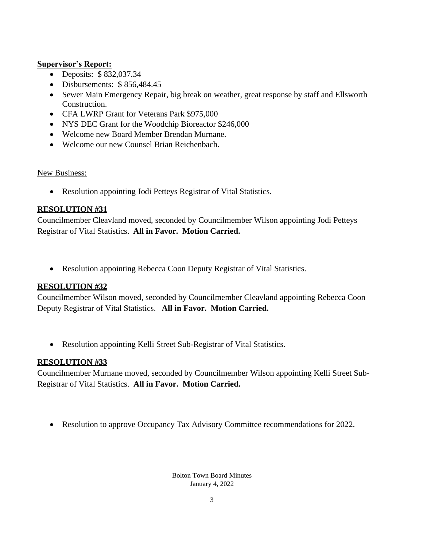### **Supervisor's Report:**

- Deposits: \$832,037.34
- Disbursements: \$856,484.45
- Sewer Main Emergency Repair, big break on weather, great response by staff and Ellsworth Construction.
- CFA LWRP Grant for Veterans Park \$975,000
- NYS DEC Grant for the Woodchip Bioreactor \$246,000
- Welcome new Board Member Brendan Murnane.
- Welcome our new Counsel Brian Reichenbach.

### New Business:

• Resolution appointing Jodi Petteys Registrar of Vital Statistics.

## **RESOLUTION #31**

Councilmember Cleavland moved, seconded by Councilmember Wilson appointing Jodi Petteys Registrar of Vital Statistics. **All in Favor. Motion Carried.**

• Resolution appointing Rebecca Coon Deputy Registrar of Vital Statistics.

## **RESOLUTION #32**

Councilmember Wilson moved, seconded by Councilmember Cleavland appointing Rebecca Coon Deputy Registrar of Vital Statistics. **All in Favor. Motion Carried.**

• Resolution appointing Kelli Street Sub-Registrar of Vital Statistics.

# **RESOLUTION #33**

Councilmember Murnane moved, seconded by Councilmember Wilson appointing Kelli Street Sub-Registrar of Vital Statistics. **All in Favor. Motion Carried.**

• Resolution to approve Occupancy Tax Advisory Committee recommendations for 2022.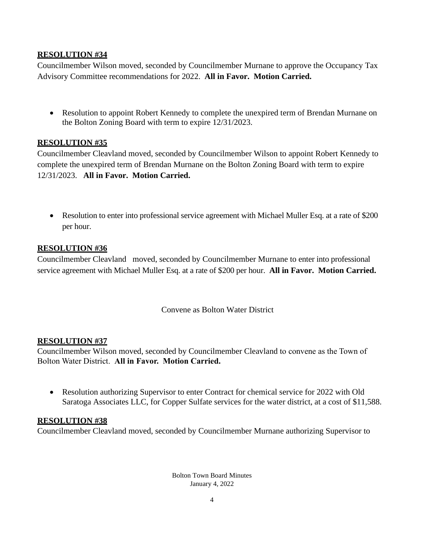## **RESOLUTION #34**

Councilmember Wilson moved, seconded by Councilmember Murnane to approve the Occupancy Tax Advisory Committee recommendations for 2022. **All in Favor. Motion Carried.**

• Resolution to appoint Robert Kennedy to complete the unexpired term of Brendan Murnane on the Bolton Zoning Board with term to expire 12/31/2023.

### **RESOLUTION #35**

Councilmember Cleavland moved, seconded by Councilmember Wilson to appoint Robert Kennedy to complete the unexpired term of Brendan Murnane on the Bolton Zoning Board with term to expire 12/31/2023. **All in Favor. Motion Carried.**

• Resolution to enter into professional service agreement with Michael Muller Esq. at a rate of \$200 per hour.

### **RESOLUTION #36**

Councilmember Cleavland moved, seconded by Councilmember Murnane to enter into professional service agreement with Michael Muller Esq. at a rate of \$200 per hour. **All in Favor. Motion Carried.**

Convene as Bolton Water District

#### **RESOLUTION #37**

Councilmember Wilson moved, seconded by Councilmember Cleavland to convene as the Town of Bolton Water District. **All in Favor. Motion Carried.**

• Resolution authorizing Supervisor to enter Contract for chemical service for 2022 with Old Saratoga Associates LLC, for Copper Sulfate services for the water district, at a cost of \$11,588.

#### **RESOLUTION #38**

Councilmember Cleavland moved, seconded by Councilmember Murnane authorizing Supervisor to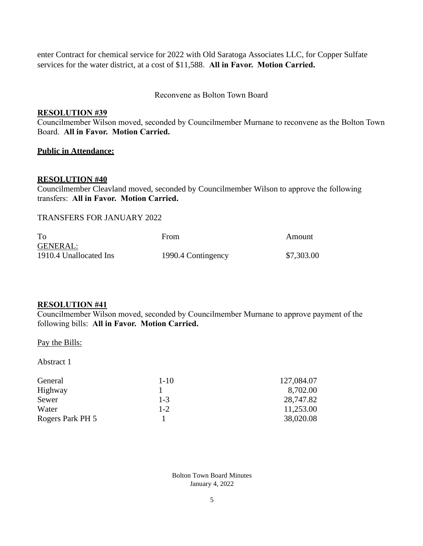enter Contract for chemical service for 2022 with Old Saratoga Associates LLC, for Copper Sulfate services for the water district, at a cost of \$11,588. **All in Favor. Motion Carried.**

Reconvene as Bolton Town Board

#### **RESOLUTION #39**

Councilmember Wilson moved, seconded by Councilmember Murnane to reconvene as the Bolton Town Board. **All in Favor. Motion Carried.**

#### **Public in Attendance:**

#### **RESOLUTION #40**

Councilmember Cleavland moved, seconded by Councilmember Wilson to approve the following transfers: **All in Favor. Motion Carried.**

#### TRANSFERS FOR JANUARY 2022

| To                     | From               | Amount     |
|------------------------|--------------------|------------|
| <b>GENERAL:</b>        |                    |            |
| 1910.4 Unallocated Ins | 1990.4 Contingency | \$7,303.00 |

#### **RESOLUTION #41**

Councilmember Wilson moved, seconded by Councilmember Murnane to approve payment of the following bills: **All in Favor. Motion Carried.**

#### Pay the Bills:

Abstract 1

| General          | $1 - 10$ | 127,084.07 |
|------------------|----------|------------|
| Highway          |          | 8,702.00   |
| Sewer            | $1 - 3$  | 28,747.82  |
| Water            | $1 - 2$  | 11,253.00  |
| Rogers Park PH 5 |          | 38,020.08  |